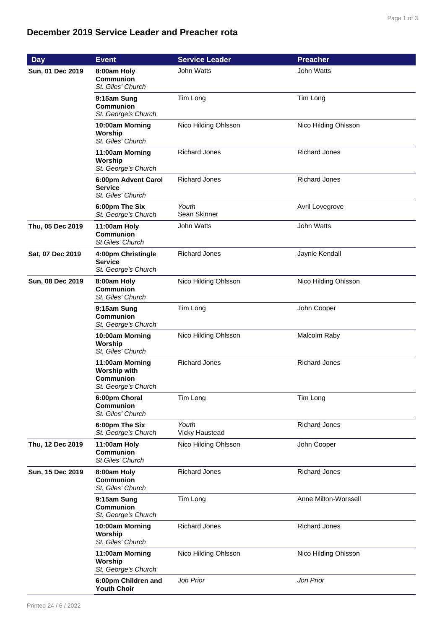## **December 2019 Service Leader and Preacher rota**

| <b>Day</b>       | <b>Event</b>                                                                      | <b>Service Leader</b>   | <b>Preacher</b>      |
|------------------|-----------------------------------------------------------------------------------|-------------------------|----------------------|
| Sun, 01 Dec 2019 | 8:00am Holy<br>Communion<br>St. Giles' Church                                     | John Watts              | <b>John Watts</b>    |
|                  | 9:15am Sung<br><b>Communion</b><br>St. George's Church                            | Tim Long                | Tim Long             |
|                  | 10:00am Morning<br>Worship<br>St. Giles' Church                                   | Nico Hilding Ohlsson    | Nico Hilding Ohlsson |
|                  | 11:00am Morning<br>Worship<br>St. George's Church                                 | <b>Richard Jones</b>    | <b>Richard Jones</b> |
|                  | 6:00pm Advent Carol<br><b>Service</b><br>St. Giles' Church                        | <b>Richard Jones</b>    | <b>Richard Jones</b> |
|                  | 6:00pm The Six<br>St. George's Church                                             | Youth<br>Sean Skinner   | Avril Lovegrove      |
| Thu, 05 Dec 2019 | 11:00am Holy<br><b>Communion</b><br>St Giles' Church                              | John Watts              | John Watts           |
| Sat, 07 Dec 2019 | 4:00pm Christingle<br><b>Service</b><br>St. George's Church                       | <b>Richard Jones</b>    | Jaynie Kendall       |
| Sun, 08 Dec 2019 | 8:00am Holy<br><b>Communion</b><br>St. Giles' Church                              | Nico Hilding Ohlsson    | Nico Hilding Ohlsson |
|                  | 9:15am Sung<br><b>Communion</b><br>St. George's Church                            | Tim Long                | John Cooper          |
|                  | 10:00am Morning<br>Worship<br>St. Giles' Church                                   | Nico Hilding Ohlsson    | Malcolm Raby         |
|                  | 11:00am Morning<br><b>Worship with</b><br><b>Communion</b><br>St. George's Church | <b>Richard Jones</b>    | <b>Richard Jones</b> |
|                  | 6:00pm Choral<br><b>Communion</b><br>St. Giles' Church                            | Tim Long                | Tim Long             |
|                  | 6:00pm The Six<br>St. George's Church                                             | Youth<br>Vicky Haustead | <b>Richard Jones</b> |
| Thu, 12 Dec 2019 | 11:00am Holy<br>Communion<br>St Giles' Church                                     | Nico Hilding Ohlsson    | John Cooper          |
| Sun, 15 Dec 2019 | 8:00am Holy<br><b>Communion</b><br>St. Giles' Church                              | <b>Richard Jones</b>    | <b>Richard Jones</b> |
|                  | 9:15am Sung<br>Communion<br>St. George's Church                                   | Tim Long                | Anne Milton-Worssell |
|                  | 10:00am Morning<br>Worship<br>St. Giles' Church                                   | <b>Richard Jones</b>    | <b>Richard Jones</b> |
|                  | 11:00am Morning<br>Worship<br>St. George's Church                                 | Nico Hilding Ohlsson    | Nico Hilding Ohlsson |
|                  | 6:00pm Children and<br><b>Youth Choir</b>                                         | Jon Prior               | Jon Prior            |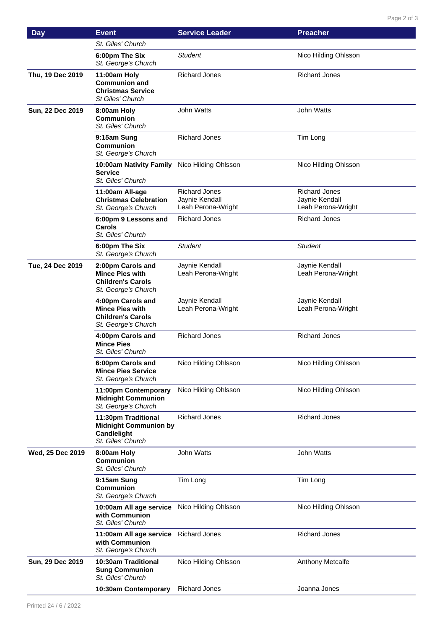| <b>Day</b>       | <b>Event</b>                                                                                   | <b>Service Leader</b>                                        | <b>Preacher</b>                                              |
|------------------|------------------------------------------------------------------------------------------------|--------------------------------------------------------------|--------------------------------------------------------------|
|                  | St. Giles' Church                                                                              |                                                              |                                                              |
|                  | 6:00pm The Six<br>St. George's Church                                                          | Student                                                      | Nico Hilding Ohlsson                                         |
| Thu, 19 Dec 2019 | 11:00am Holy<br><b>Communion and</b><br><b>Christmas Service</b><br>St Giles' Church           | <b>Richard Jones</b>                                         | <b>Richard Jones</b>                                         |
| Sun, 22 Dec 2019 | 8:00am Holy<br><b>Communion</b><br>St. Giles' Church                                           | <b>John Watts</b>                                            | <b>John Watts</b>                                            |
|                  | 9:15am Sung<br><b>Communion</b><br>St. George's Church                                         | <b>Richard Jones</b>                                         | Tim Long                                                     |
|                  | 10:00am Nativity Family<br><b>Service</b><br>St. Giles' Church                                 | Nico Hilding Ohlsson                                         | Nico Hilding Ohlsson                                         |
|                  | 11:00am All-age<br><b>Christmas Celebration</b><br>St. George's Church                         | <b>Richard Jones</b><br>Jaynie Kendall<br>Leah Perona-Wright | <b>Richard Jones</b><br>Jaynie Kendall<br>Leah Perona-Wright |
|                  | 6:00pm 9 Lessons and<br>Carols<br>St. Giles' Church                                            | <b>Richard Jones</b>                                         | <b>Richard Jones</b>                                         |
|                  | 6:00pm The Six<br>St. George's Church                                                          | <b>Student</b>                                               | <b>Student</b>                                               |
| Tue, 24 Dec 2019 | 2:00pm Carols and<br><b>Mince Pies with</b><br><b>Children's Carols</b><br>St. George's Church | Jaynie Kendall<br>Leah Perona-Wright                         | Jaynie Kendall<br>Leah Perona-Wright                         |
|                  | 4:00pm Carols and<br><b>Mince Pies with</b><br><b>Children's Carols</b><br>St. George's Church | Jaynie Kendall<br>Leah Perona-Wright                         | Jaynie Kendall<br>Leah Perona-Wright                         |
|                  | 4:00pm Carols and<br><b>Mince Pies</b><br>St. Giles' Church                                    | <b>Richard Jones</b>                                         | <b>Richard Jones</b>                                         |
|                  | 6:00pm Carols and<br><b>Mince Pies Service</b><br>St. George's Church                          | Nico Hilding Ohlsson                                         | Nico Hilding Ohlsson                                         |
|                  | 11:00pm Contemporary<br><b>Midnight Communion</b><br>St. George's Church                       | Nico Hilding Ohlsson                                         | Nico Hilding Ohlsson                                         |
|                  | 11:30pm Traditional<br><b>Midnight Communion by</b><br>Candlelight<br>St. Giles' Church        | <b>Richard Jones</b>                                         | <b>Richard Jones</b>                                         |
| Wed, 25 Dec 2019 | 8:00am Holy<br><b>Communion</b><br>St. Giles' Church                                           | John Watts                                                   | John Watts                                                   |
|                  | 9:15am Sung<br><b>Communion</b><br>St. George's Church                                         | Tim Long                                                     | Tim Long                                                     |
|                  | 10:00am All age service<br>with Communion<br>St. Giles' Church                                 | Nico Hilding Ohlsson                                         | Nico Hilding Ohlsson                                         |
|                  | 11:00am All age service<br>with Communion<br>St. George's Church                               | <b>Richard Jones</b>                                         | <b>Richard Jones</b>                                         |
| Sun, 29 Dec 2019 | 10:30am Traditional<br><b>Sung Communion</b><br>St. Giles' Church                              | Nico Hilding Ohlsson                                         | Anthony Metcalfe                                             |
|                  | 10:30am Contemporary                                                                           | <b>Richard Jones</b>                                         | Joanna Jones                                                 |